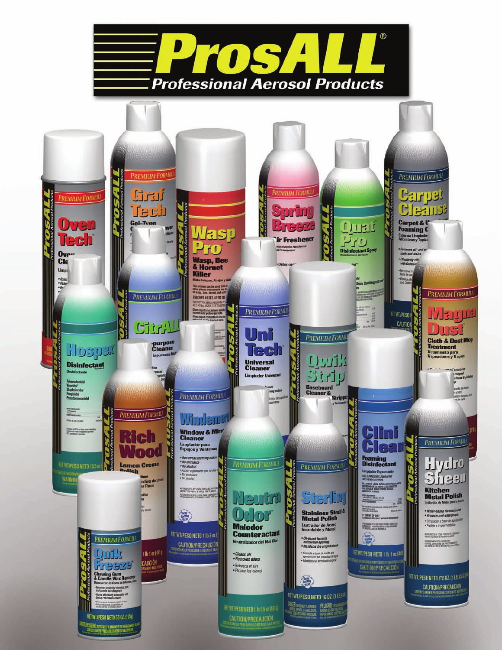